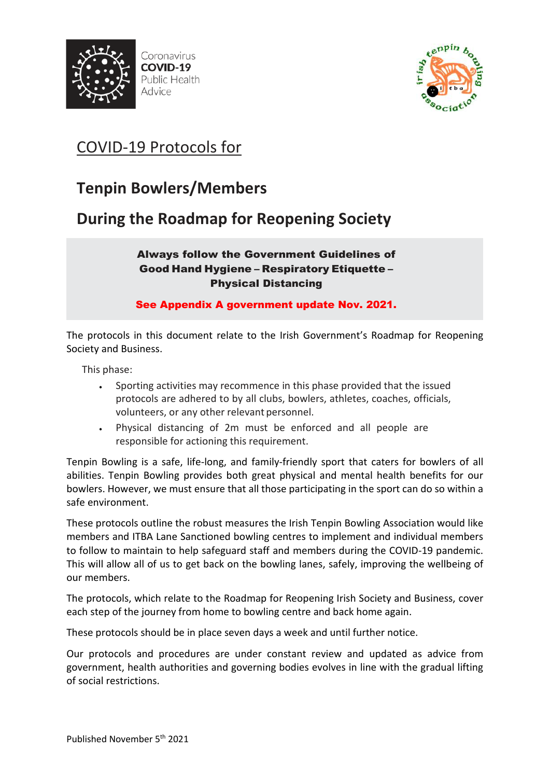



# COVID-19 Protocols for

# **Tenpin Bowlers/Members**

**During the Roadmap for Reopening Society** 

### Always follow the Government Guidelines of Good Hand Hygiene – Respiratory Etiquette – Physical Distancing

See Appendix A government update Nov. 2021.

The protocols in this document relate to the Irish Government's Roadmap for Reopening Society and Business.

This phase:

- Sporting activities may recommence in this phase provided that the issued protocols are adhered to by all clubs, bowlers, athletes, coaches, officials, volunteers, or any other relevant personnel.
- Physical distancing of 2m must be enforced and all people are responsible for actioning this requirement.

Tenpin Bowling is a safe, life-long, and family-friendly sport that caters for bowlers of all abilities. Tenpin Bowling provides both great physical and mental health benefits for our bowlers. However, we must ensure that all those participating in the sport can do so within a safe environment.

These protocols outline the robust measures the Irish Tenpin Bowling Association would like members and ITBA Lane Sanctioned bowling centres to implement and individual members to follow to maintain to help safeguard staff and members during the COVID-19 pandemic. This will allow all of us to get back on the bowling lanes, safely, improving the wellbeing of our members.

The protocols, which relate to the Roadmap for Reopening Irish Society and Business, cover each step of the journey from home to bowling centre and back home again.

These protocols should be in place seven days a week and until further notice.

Our protocols and procedures are under constant review and updated as advice from government, health authorities and governing bodies evolves in line with the gradual lifting of social restrictions.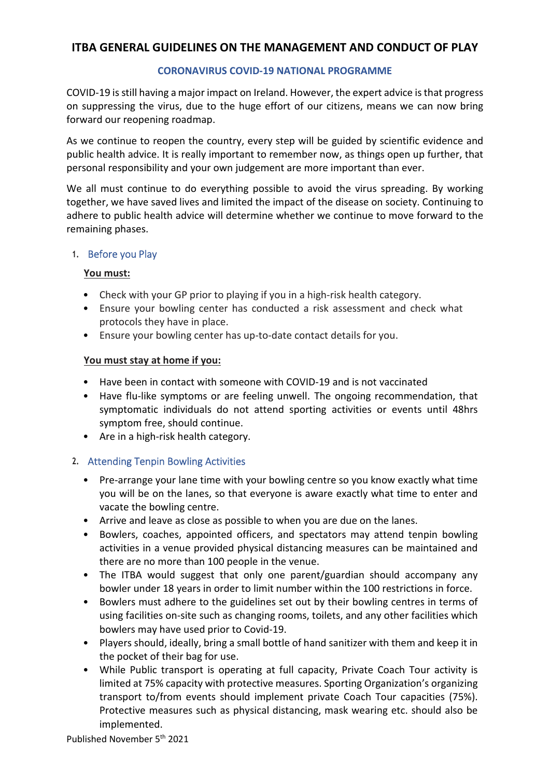### **ITBA GENERAL GUIDELINES ON THE MANAGEMENT AND CONDUCT OF PLAY**

### **CORONAVIRUS COVID-19 NATIONAL PROGRAMME**

COVID-19 is still having a major impact on Ireland. However, the expert advice is that progress on suppressing the virus, due to the huge effort of our citizens, means we can now bring forward our reopening roadmap.

As we continue to reopen the country, every step will be guided by scientific evidence and public health advice. It is really important to remember now, as things open up further, that personal responsibility and your own judgement are more important than ever.

We all must continue to do everything possible to avoid the virus spreading. By working together, we have saved lives and limited the impact of the disease on society. Continuing to adhere to public health advice will determine whether we continue to move forward to the remaining phases.

### **1.** Before you Play

### **You must:**

- Check with your GP prior to playing if you in a high-risk health category.
- Ensure your bowling center has conducted a risk assessment and check what protocols they have in place.
- Ensure your bowling center has up-to-date contact details for you.

### **You must stay at home if you:**

- Have been in contact with someone with COVID-19 and is not vaccinated
- Have flu-like symptoms or are feeling unwell. The ongoing recommendation, that symptomatic individuals do not attend sporting activities or events until 48hrs symptom free, should continue.
- Are in a high-risk health category.

### **2.** Attending Tenpin Bowling Activities

- Pre-arrange your lane time with your bowling centre so you know exactly what time you will be on the lanes, so that everyone is aware exactly what time to enter and vacate the bowling centre.
- Arrive and leave as close as possible to when you are due on the lanes.
- Bowlers, coaches, appointed officers, and spectators may attend tenpin bowling activities in a venue provided physical distancing measures can be maintained and there are no more than 100 people in the venue.
- The ITBA would suggest that only one parent/guardian should accompany any bowler under 18 years in order to limit number within the 100 restrictions in force.
- Bowlers must adhere to the guidelines set out by their bowling centres in terms of using facilities on-site such as changing rooms, toilets, and any other facilities which bowlers may have used prior to Covid-19.
- Players should, ideally, bring a small bottle of hand sanitizer with them and keep it in the pocket of their bag for use.
- While Public transport is operating at full capacity, Private Coach Tour activity is limited at 75% capacity with protective measures. Sporting Organization's organizing transport to/from events should implement private Coach Tour capacities (75%). Protective measures such as physical distancing, mask wearing etc. should also be implemented.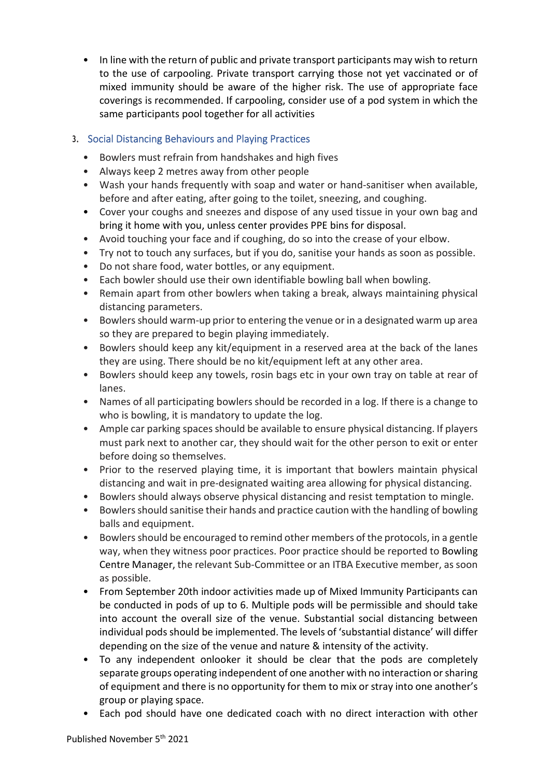• In line with the return of public and private transport participants may wish to return to the use of carpooling. Private transport carrying those not yet vaccinated or of mixed immunity should be aware of the higher risk. The use of appropriate face coverings is recommended. If carpooling, consider use of a pod system in which the same participants pool together for all activities

### **3.** Social Distancing Behaviours and Playing Practices

- Bowlers must refrain from handshakes and high fives
- Always keep 2 metres away from other people
- Wash your hands frequently with soap and water or hand-sanitiser when available, before and after eating, after going to the toilet, sneezing, and coughing.
- Cover your coughs and sneezes and dispose of any used tissue in your own bag and bring it home with you, unless center provides PPE bins for disposal.
- Avoid touching your face and if coughing, do so into the crease of your elbow.
- Try not to touch any surfaces, but if you do, sanitise your hands as soon as possible.
- Do not share food, water bottles, or any equipment.
- Each bowler should use their own identifiable bowling ball when bowling.
- Remain apart from other bowlers when taking a break, always maintaining physical distancing parameters.
- Bowlers should warm-up prior to entering the venue or in a designated warm up area so they are prepared to begin playing immediately.
- Bowlers should keep any kit/equipment in a reserved area at the back of the lanes they are using. There should be no kit/equipment left at any other area.
- Bowlers should keep any towels, rosin bags etc in your own tray on table at rear of lanes.
- Names of all participating bowlers should be recorded in a log. If there is a change to who is bowling, it is mandatory to update the log.
- Ample car parking spaces should be available to ensure physical distancing. If players must park next to another car, they should wait for the other person to exit or enter before doing so themselves.
- Prior to the reserved playing time, it is important that bowlers maintain physical distancing and wait in pre-designated waiting area allowing for physical distancing.
- Bowlers should always observe physical distancing and resist temptation to mingle.
- Bowlers should sanitise their hands and practice caution with the handling of bowling balls and equipment.
- Bowlers should be encouraged to remind other members of the protocols, in a gentle way, when they witness poor practices. Poor practice should be reported to Bowling Centre Manager, the relevant Sub-Committee or an ITBA Executive member, as soon as possible.
- From September 20th indoor activities made up of Mixed Immunity Participants can be conducted in pods of up to 6. Multiple pods will be permissible and should take into account the overall size of the venue. Substantial social distancing between individual pods should be implemented. The levels of 'substantial distance' will differ depending on the size of the venue and nature & intensity of the activity.
- To any independent onlooker it should be clear that the pods are completely separate groups operating independent of one another with no interaction or sharing of equipment and there is no opportunity for them to mix or stray into one another's group or playing space.
- Each pod should have one dedicated coach with no direct interaction with other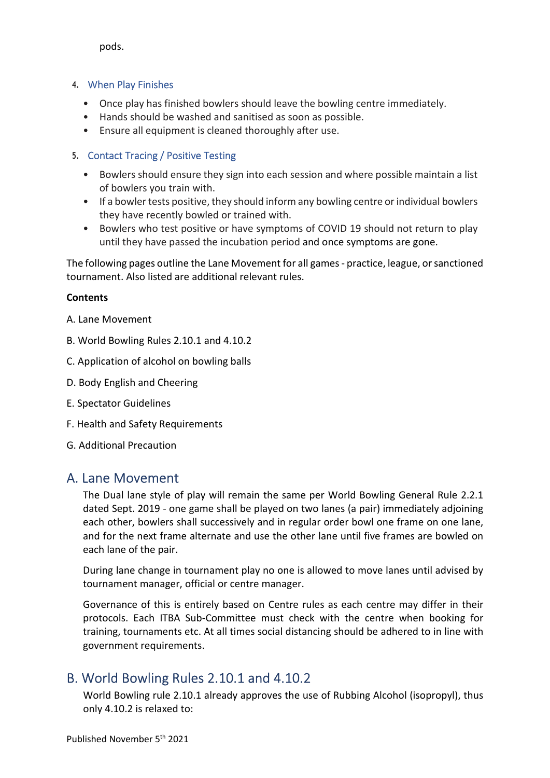pods.

### **4.** When Play Finishes

- Once play has finished bowlers should leave the bowling centre immediately.
- Hands should be washed and sanitised as soon as possible.
- Ensure all equipment is cleaned thoroughly after use.

### **5.** Contact Tracing / Positive Testing

- Bowlers should ensure they sign into each session and where possible maintain a list of bowlers you train with.
- If a bowler tests positive, they should inform any bowling centre or individual bowlers they have recently bowled or trained with.
- Bowlers who test positive or have symptoms of COVID 19 should not return to play until they have passed the incubation period and once symptoms are gone.

The following pages outline the Lane Movement for all games - practice, league, or sanctioned tournament. Also listed are additional relevant rules.

### **Contents**

- A. Lane Movement
- B. World Bowling Rules 2.10.1 and 4.10.2
- C. Application of alcohol on bowling balls
- D. Body English and Cheering
- E. Spectator Guidelines
- F. Health and Safety Requirements
- G. Additional Precaution

## A. Lane Movement

The Dual lane style of play will remain the same per World Bowling General Rule 2.2.1 dated Sept. 2019 - one game shall be played on two lanes (a pair) immediately adjoining each other, bowlers shall successively and in regular order bowl one frame on one lane, and for the next frame alternate and use the other lane until five frames are bowled on each lane of the pair.

During lane change in tournament play no one is allowed to move lanes until advised by tournament manager, official or centre manager.

Governance of this is entirely based on Centre rules as each centre may differ in their protocols. Each ITBA Sub-Committee must check with the centre when booking for training, tournaments etc. At all times social distancing should be adhered to in line with government requirements.

# B. World Bowling Rules 2.10.1 and 4.10.2

World Bowling rule 2.10.1 already approves the use of Rubbing Alcohol (isopropyl), thus only 4.10.2 is relaxed to: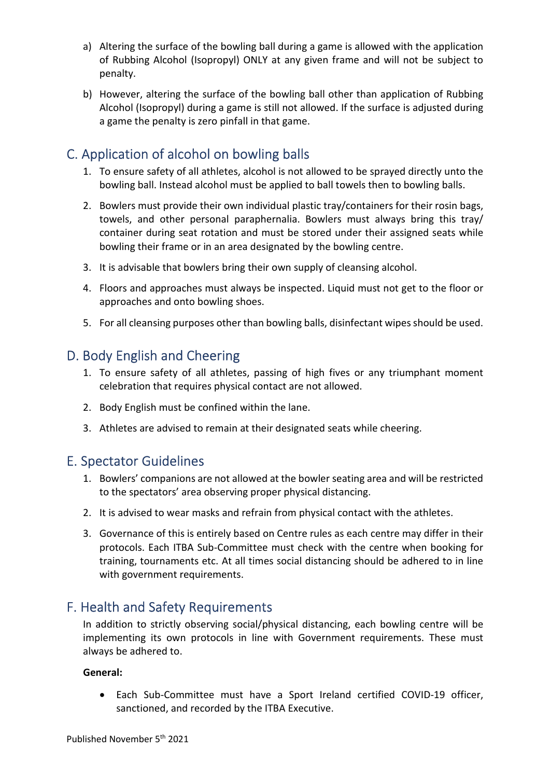- a) Altering the surface of the bowling ball during a game is allowed with the application of Rubbing Alcohol (Isopropyl) ONLY at any given frame and will not be subject to penalty.
- b) However, altering the surface of the bowling ball other than application of Rubbing Alcohol (Isopropyl) during a game is still not allowed. If the surface is adjusted during a game the penalty is zero pinfall in that game.

# C. Application of alcohol on bowling balls

- 1. To ensure safety of all athletes, alcohol is not allowed to be sprayed directly unto the bowling ball. Instead alcohol must be applied to ball towels then to bowling balls.
- 2. Bowlers must provide their own individual plastic tray/containers for their rosin bags, towels, and other personal paraphernalia. Bowlers must always bring this tray/ container during seat rotation and must be stored under their assigned seats while bowling their frame or in an area designated by the bowling centre.
- 3. It is advisable that bowlers bring their own supply of cleansing alcohol.
- 4. Floors and approaches must always be inspected. Liquid must not get to the floor or approaches and onto bowling shoes.
- 5. For all cleansing purposes other than bowling balls, disinfectant wipes should be used.

# D. Body English and Cheering

- 1. To ensure safety of all athletes, passing of high fives or any triumphant moment celebration that requires physical contact are not allowed.
- 2. Body English must be confined within the lane.
- 3. Athletes are advised to remain at their designated seats while cheering.

## E. Spectator Guidelines

- 1. Bowlers' companions are not allowed at the bowler seating area and will be restricted to the spectators' area observing proper physical distancing.
- 2. It is advised to wear masks and refrain from physical contact with the athletes.
- 3. Governance of this is entirely based on Centre rules as each centre may differ in their protocols. Each ITBA Sub-Committee must check with the centre when booking for training, tournaments etc. At all times social distancing should be adhered to in line with government requirements.

## F. Health and Safety Requirements

In addition to strictly observing social/physical distancing, each bowling centre will be implementing its own protocols in line with Government requirements. These must always be adhered to.

### **General:**

 Each Sub-Committee must have a Sport Ireland certified COVID-19 officer, sanctioned, and recorded by the ITBA Executive.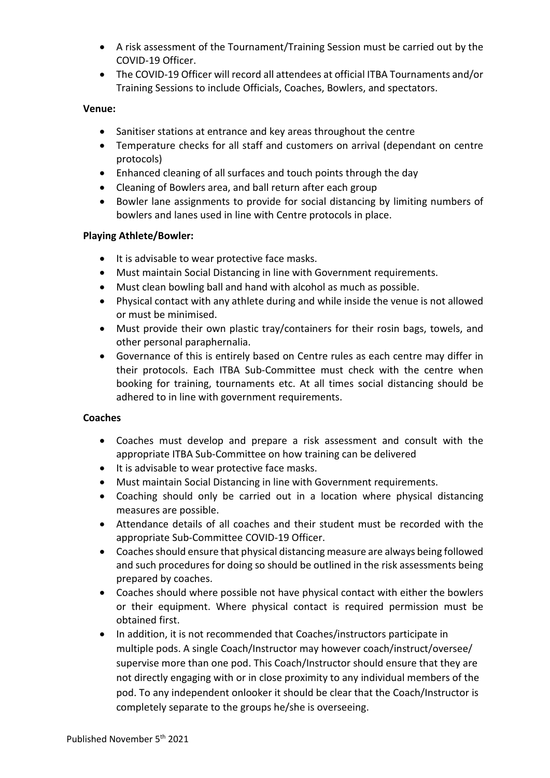- A risk assessment of the Tournament/Training Session must be carried out by the COVID-19 Officer.
- The COVID-19 Officer will record all attendees at official ITBA Tournaments and/or Training Sessions to include Officials, Coaches, Bowlers, and spectators.

### **Venue:**

- Sanitiser stations at entrance and key areas throughout the centre
- Temperature checks for all staff and customers on arrival (dependant on centre protocols)
- Enhanced cleaning of all surfaces and touch points through the day
- Cleaning of Bowlers area, and ball return after each group
- Bowler lane assignments to provide for social distancing by limiting numbers of bowlers and lanes used in line with Centre protocols in place.

### **Playing Athlete/Bowler:**

- It is advisable to wear protective face masks.
- Must maintain Social Distancing in line with Government requirements.
- Must clean bowling ball and hand with alcohol as much as possible.
- Physical contact with any athlete during and while inside the venue is not allowed or must be minimised.
- Must provide their own plastic tray/containers for their rosin bags, towels, and other personal paraphernalia.
- Governance of this is entirely based on Centre rules as each centre may differ in their protocols. Each ITBA Sub-Committee must check with the centre when booking for training, tournaments etc. At all times social distancing should be adhered to in line with government requirements.

### **Coaches**

- Coaches must develop and prepare a risk assessment and consult with the appropriate ITBA Sub-Committee on how training can be delivered
- $\bullet$  It is advisable to wear protective face masks.
- Must maintain Social Distancing in line with Government requirements.
- Coaching should only be carried out in a location where physical distancing measures are possible.
- Attendance details of all coaches and their student must be recorded with the appropriate Sub-Committee COVID-19 Officer.
- Coaches should ensure that physical distancing measure are always being followed and such procedures for doing so should be outlined in the risk assessments being prepared by coaches.
- Coaches should where possible not have physical contact with either the bowlers or their equipment. Where physical contact is required permission must be obtained first.
- In addition, it is not recommended that Coaches/instructors participate in multiple pods. A single Coach/Instructor may however coach/instruct/oversee/ supervise more than one pod. This Coach/Instructor should ensure that they are not directly engaging with or in close proximity to any individual members of the pod. To any independent onlooker it should be clear that the Coach/Instructor is completely separate to the groups he/she is overseeing.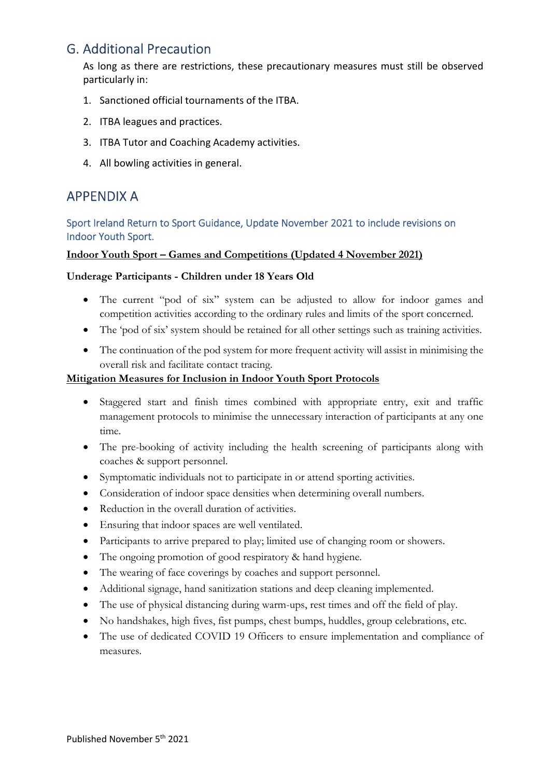# G. Additional Precaution

As long as there are restrictions, these precautionary measures must still be observed particularly in:

- 1. Sanctioned official tournaments of the ITBA.
- 2. ITBA leagues and practices.
- 3. ITBA Tutor and Coaching Academy activities.
- 4. All bowling activities in general.

## APPENDIX A

### Sport Ireland Return to Sport Guidance, Update November 2021 to include revisions on Indoor Youth Sport.

### **Indoor Youth Sport – Games and Competitions (Updated 4 November 2021)**

### **Underage Participants - Children under 18 Years Old**

- The current "pod of six" system can be adjusted to allow for indoor games and competition activities according to the ordinary rules and limits of the sport concerned.
- The 'pod of six' system should be retained for all other settings such as training activities.
- The continuation of the pod system for more frequent activity will assist in minimising the overall risk and facilitate contact tracing.

### **Mitigation Measures for Inclusion in Indoor Youth Sport Protocols**

- Staggered start and finish times combined with appropriate entry, exit and traffic management protocols to minimise the unnecessary interaction of participants at any one time.
- The pre-booking of activity including the health screening of participants along with coaches & support personnel.
- Symptomatic individuals not to participate in or attend sporting activities.
- Consideration of indoor space densities when determining overall numbers.
- Reduction in the overall duration of activities.
- Ensuring that indoor spaces are well ventilated.
- Participants to arrive prepared to play; limited use of changing room or showers.
- The ongoing promotion of good respiratory & hand hygiene.
- The wearing of face coverings by coaches and support personnel.
- Additional signage, hand sanitization stations and deep cleaning implemented.
- The use of physical distancing during warm-ups, rest times and off the field of play.
- No handshakes, high fives, fist pumps, chest bumps, huddles, group celebrations, etc.
- The use of dedicated COVID 19 Officers to ensure implementation and compliance of measures.